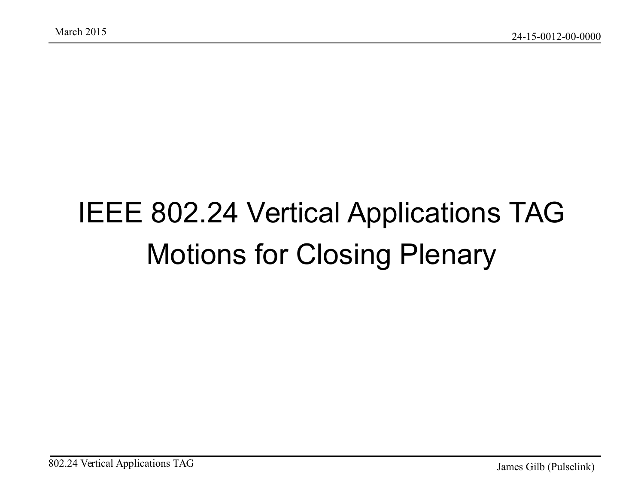#### IEEE 802.24 Vertical Applications TAG Motions for Closing Plenary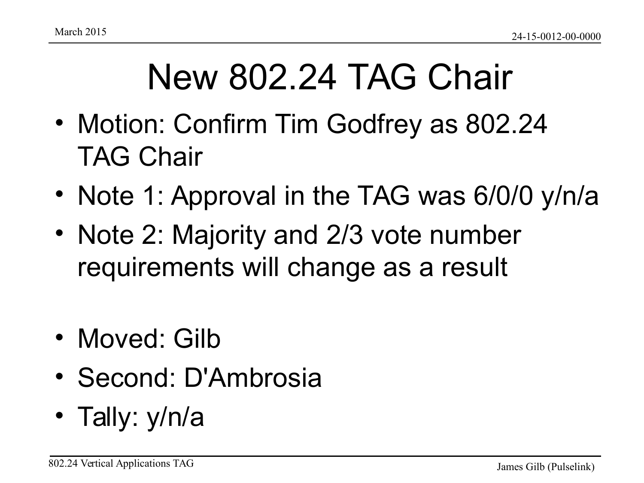## New 802.24 TAG Chair

- Motion: Confirm Tim Godfrey as 802.24 TAG Chair
- Note 1: Approval in the TAG was 6/0/0 y/n/a
- Note 2: Majority and 2/3 vote number requirements will change as a result
- Moved: Gilb
- Second: D'Ambrosia
- Tally: y/n/a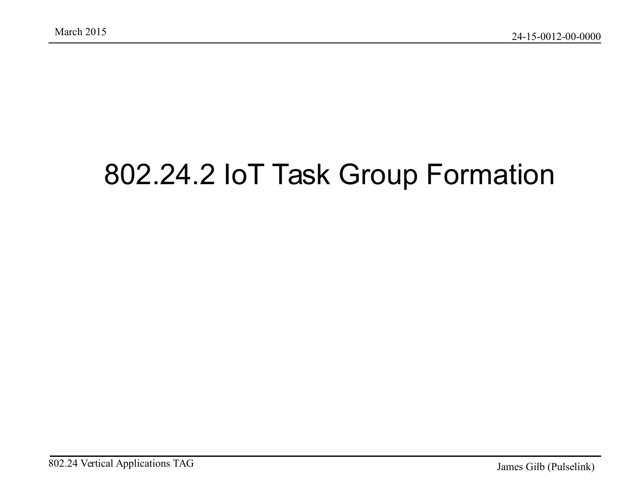#### 802.24.2 IoT Task Group Formation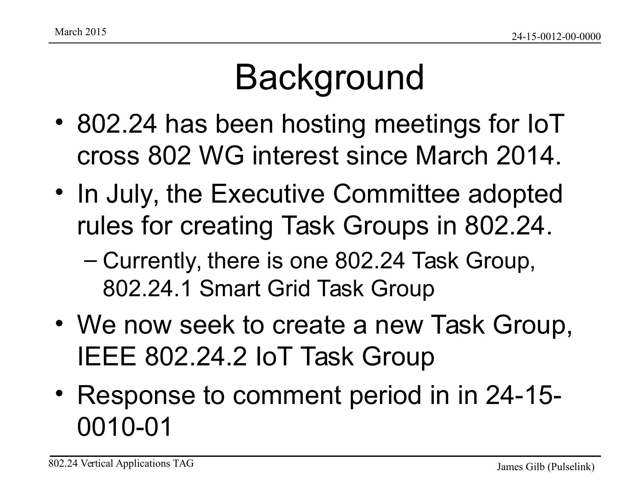## Background

- 802.24 has been hosting meetings for IoT cross 802 WG interest since March 2014.
- In July, the Executive Committee adopted rules for creating Task Groups in 802.24.
	- Currently, there is one 802.24 Task Group, 802.24.1 Smart Grid Task Group
- We now seek to create a new Task Group, IEEE 802.24.2 IoT Task Group
- Response to comment period in in 24-15- 0010-01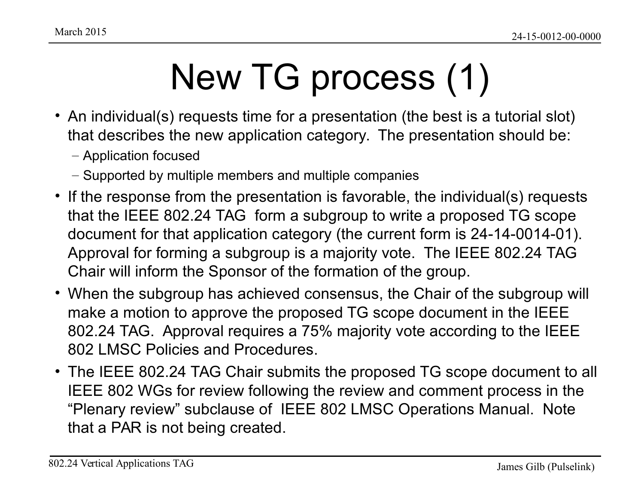# New TG process (1)

- An individual(s) requests time for a presentation (the best is a tutorial slot) that describes the new application category. The presentation should be:
	- Application focused
	- Supported by multiple members and multiple companies
- If the response from the presentation is favorable, the individual(s) requests that the IEEE 802.24 TAG form a subgroup to write a proposed TG scope document for that application category (the current form is 24-14-0014-01). Approval for forming a subgroup is a majority vote. The IEEE 802.24 TAG Chair will inform the Sponsor of the formation of the group.
- When the subgroup has achieved consensus, the Chair of the subgroup will make a motion to approve the proposed TG scope document in the IEEE 802.24 TAG. Approval requires a 75% majority vote according to the IEEE 802 LMSC Policies and Procedures.
- The IEEE 802.24 TAG Chair submits the proposed TG scope document to all IEEE 802 WGs for review following the review and comment process in the "Plenary review" subclause of IEEE 802 LMSC Operations Manual. Note that a PAR is not being created.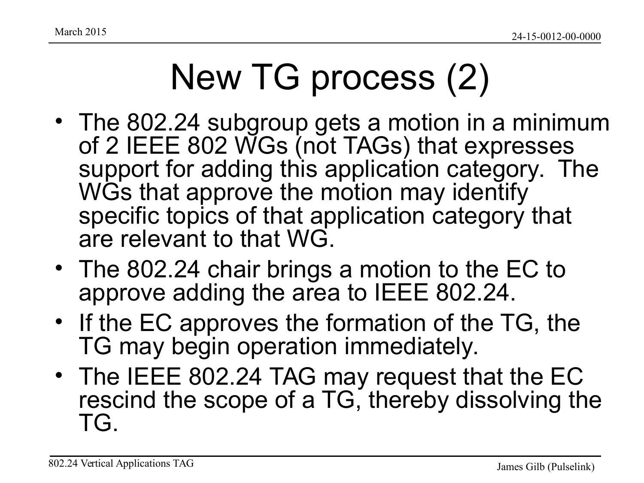## New TG process (2)

- The 802.24 subgroup gets a motion in a minimum of 2 IEEE 802 WGs (not TAGs) that expresses support for adding this application category. The WGs that approve the motion may identify specific topics of that application category that are relevant to that WG.
- The 802.24 chair brings a motion to the EC to approve adding the area to IEEE 802.24.
- If the EC approves the formation of the TG, the TG may begin operation immediately.
- The IEEE 802.24 TAG may request that the EC rescind the scope of a TG, thereby dissolving the TG.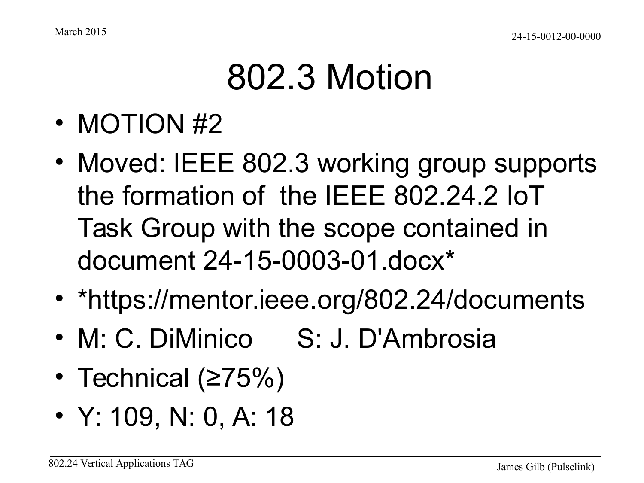## 802.3 Motion

- MOTION #2
- Moved: IEEE 802.3 working group supports the formation of the IEEE 802.24.2 IoT Task Group with the scope contained in document 24-15-0003-01.docx\*
- \*https://mentor.ieee.org/802.24/documents
- M: C. DiMinico S: J. D'Ambrosia
- Technical (≥75%)
- Y: 109, N: 0, A: 18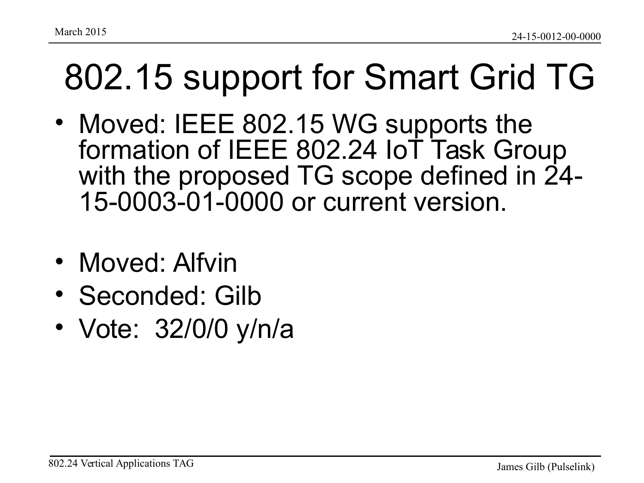- Moved: IEEE 802.15 WG supports the formation of IEEE 802.24 IoT Task Group with the proposed TG scope defined in 24- 15-0003-01-0000 or current version.
- Moved: Alfvin
- Seconded: Gilb
- Vote: 32/0/0 y/n/a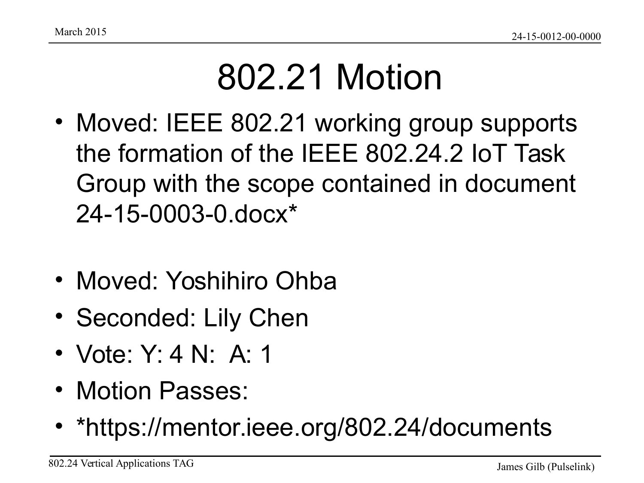### 802.21 Motion

- Moved: IEEE 802.21 working group supports the formation of the IEEE 802.24.2 IoT Task Group with the scope contained in document 24-15-0003-0.docx\*
- Moved: Yoshihiro Ohba
- Seconded: Lily Chen
- Vote: Y: 4 N: A: 1
- Motion Passes:
- \*https://mentor.ieee.org/802.24/documents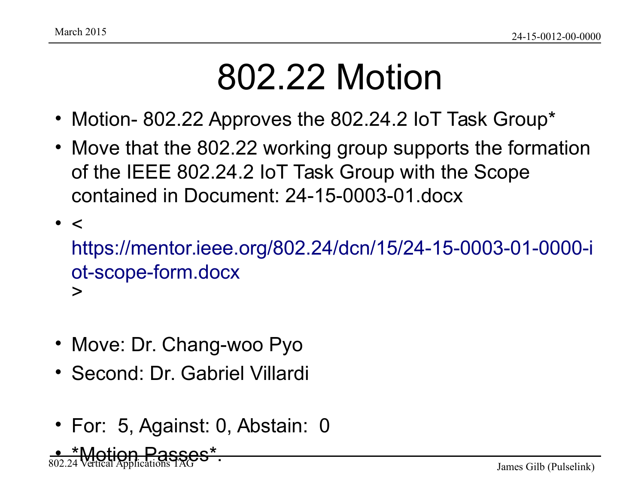#### 802.22 Motion

- Motion- 802.22 Approves the 802.24.2 IoT Task Group\*
- Move that the 802.22 working group supports the formation of the IEEE 802.24.2 IoT Task Group with the Scope contained in Document: 24-15-0003-01.docx
- $\bullet$   $\lt$ [https://mentor.ieee.org/802.24/dcn/15/24-15-0003-01-0000-i](https://mentor.ieee.org/802.24/dcn/15/24-15-0003-01-0000-iot-scope-form.docx) [ot-scope-form.docx](https://mentor.ieee.org/802.24/dcn/15/24-15-0003-01-0000-iot-scope-form.docx) >
- Move: Dr. Chang-woo Pyo
- Second: Dr. Gabriel Villardi
- For: 5, Against: 0, Abstain: 0

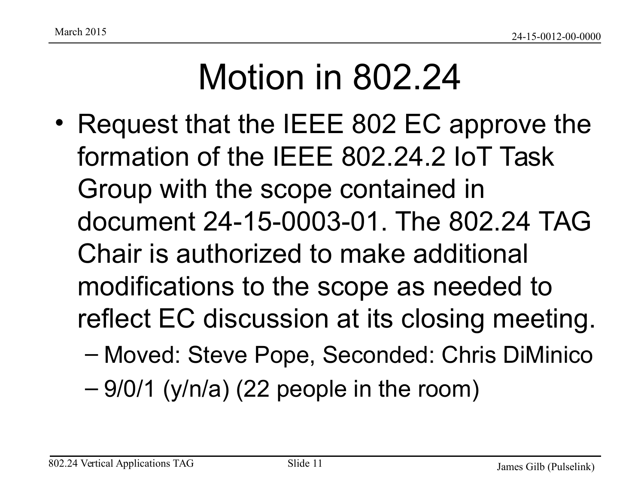## Motion in 802.24

- Request that the IEEE 802 EC approve the formation of the IEEE 802.24.2 IoT Task Group with the scope contained in document 24-15-0003-01. The 802.24 TAG Chair is authorized to make additional modifications to the scope as needed to reflect EC discussion at its closing meeting.
	- Moved: Steve Pope, Seconded: Chris DiMinico
	- $-9/0/1$  (y/n/a) (22 people in the room)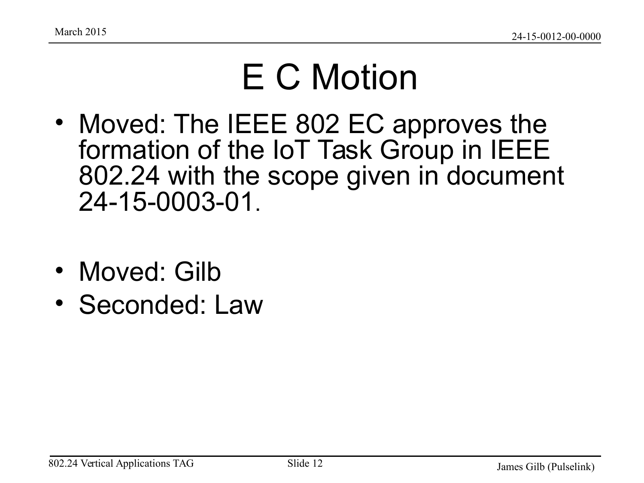### E C Motion

- Moved: The IEEE 802 EC approves the formation of the IoT Task Group in IEEE 802.24 with the scope given in document 24-15-0003-01.
- Moved: Gilb
- Seconded: Law